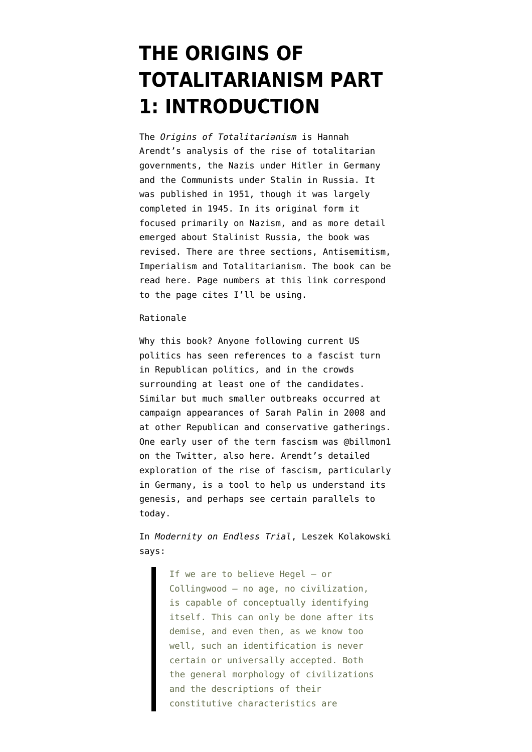## **[THE ORIGINS OF](https://www.emptywheel.net/2015/12/21/the-origins-of-totalitarianism-part-1-introduction/) [TOTALITARIANISM PART](https://www.emptywheel.net/2015/12/21/the-origins-of-totalitarianism-part-1-introduction/) [1: INTRODUCTION](https://www.emptywheel.net/2015/12/21/the-origins-of-totalitarianism-part-1-introduction/)**

The *Origins of Totalitarianism* is Hannah Arendt's analysis of the rise of totalitarian governments, the Nazis under Hitler in Germany and the Communists under Stalin in Russia. It was published in 1951, though it was [largely](http://www.firstthings.com/article/2010/02/assaulting-arendt-footnoted-version) [completed in 1945.](http://www.firstthings.com/article/2010/02/assaulting-arendt-footnoted-version) In its original form it focused primarily on Nazism, and as more detail emerged about Stalinist Russia, the book was revised. There are three sections, Antisemitism, Imperialism and Totalitarianism. The book [can be](http://www.cscd.osaka-u.ac.jp/user/rosaldo/101010OTHA.htm) [read here.](http://www.cscd.osaka-u.ac.jp/user/rosaldo/101010OTHA.htm) Page numbers at this link correspond to the page cites I'll be using.

## Rationale

Why this book? Anyone following current US politics has seen references to a fascist turn in Republican politics, and in the crowds surrounding at least one of the candidates. Similar but much smaller outbreaks occurred at campaign appearances of Sarah Palin in 2008 and at other Republican and conservative gatherings. One early user of the term fascism was [@billmon1](https://storify.com/billmon1/mainstreaming-the-unspeakable) [on the Twitter](https://storify.com/billmon1/mainstreaming-the-unspeakable), [also here.](https://storify.com/billmon1/the-two-faced-characteristics-of-american-fascism) Arendt's detailed exploration of the rise of fascism, particularly in Germany, is a tool to help us understand its genesis, and perhaps see certain parallels to today.

In *Modernity on Endless Trial*, Leszek Kolakowski says:

> If we are to believe Hegel – or Collingwood – no age, no civilization, is capable of conceptually identifying itself. This can only be done after its demise, and even then, as we know too well, such an identification is never certain or universally accepted. Both the general morphology of civilizations and the descriptions of their constitutive characteristics are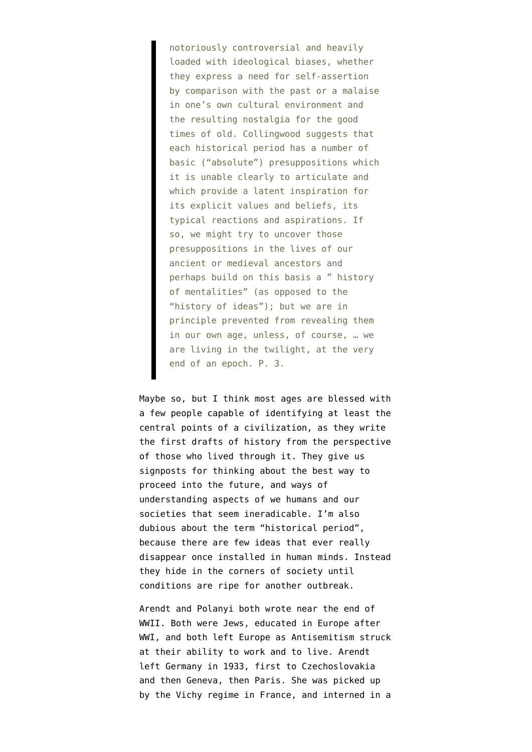notoriously controversial and heavily loaded with ideological biases, whether they express a need for self-assertion by comparison with the past or a malaise in one's own cultural environment and the resulting nostalgia for the good times of old. Collingwood suggests that each historical period has a number of basic ("absolute") presuppositions which it is unable clearly to articulate and which provide a latent inspiration for its explicit values and beliefs, its typical reactions and aspirations. If so, we might try to uncover those presuppositions in the lives of our ancient or medieval ancestors and perhaps build on this basis a " history of mentalities" (as opposed to the "history of ideas"); but we are in principle prevented from revealing them in our own age, unless, of course, … we are living in the twilight, at the very end of an epoch. P. 3.

Maybe so, but I think most ages are blessed with a few people capable of identifying at least the central points of a civilization, as they write the first drafts of history from the perspective of those who lived through it. They give us signposts for thinking about the best way to proceed into the future, and ways of understanding aspects of we humans and our societies that seem ineradicable. I'm also dubious about the term "historical period", because there are few ideas that ever really disappear once installed in human minds. Instead they hide in the corners of society until conditions are ripe for another outbreak.

Arendt and Polanyi both wrote near the end of WWII. Both were Jews, educated in Europe after WWI, and both left Europe as Antisemitism struck at their ability to work and to live. [Arendt](https://en.wikipedia.org/wiki/Hannah_Arendt) [left Germany](https://en.wikipedia.org/wiki/Hannah_Arendt) in 1933, first to Czechoslovakia and then Geneva, then Paris. She was picked up by the Vichy regime in France, and interned in a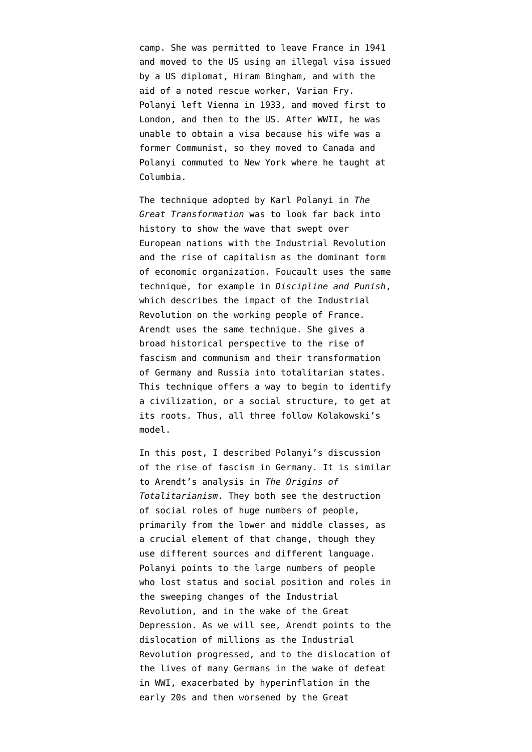camp. She was permitted to leave France in 1941 and moved to the US using an illegal visa issued by a US diplomat, [Hiram Bingham,](https://en.wikipedia.org/wiki/Hiram_Bingham_IV#Vice_Consul_in_France) and with the aid of a noted rescue worker, Varian Fry. [Polanyi left Vienna](https://en.wikipedia.org/wiki/Karl_Polanyi) in 1933, and moved first to London, and then to the US. After WWII, he was unable to obtain a visa because his wife was a former Communist, so they moved to Canada and Polanyi commuted to New York where he taught at Columbia.

The technique adopted by Karl Polanyi in *The Great Transformation* was to look far back into history to show the wave that swept over European nations with the Industrial Revolution and the rise of capitalism as the dominant form of economic organization. Foucault uses the same technique, for example in *Discipline and Punish*, which describes the [impact of the Industrial](https://shadowproof.com/2014/08/03/discipline-for-the-benefit-of-the-rich/) [Revolution](https://shadowproof.com/2014/08/03/discipline-for-the-benefit-of-the-rich/) on the working people of France. Arendt uses the same technique. She gives a broad historical perspective to the rise of fascism and communism and their transformation of Germany and Russia into totalitarian states. This technique offers a way to begin to identify a civilization, or a social structure, to get at its roots. Thus, all three follow Kolakowski's model.

[In this post](https://www.emptywheel.net/2015/12/13/the-great-transformation-part-9-the-rise-of-fascism-and-conclusion/), I described Polanyi's discussion of the rise of fascism in Germany. It is similar to Arendt's analysis in *The Origins of Totalitarianism*. They both see the destruction of social roles of huge numbers of people, primarily from the lower and middle classes, as a crucial element of that change, though they use different sources and different language. Polanyi points to the large numbers of people who lost status and social position and roles in the sweeping changes of the Industrial Revolution, and in the wake of the Great Depression. As we will see, Arendt points to the dislocation of millions as the Industrial Revolution progressed, and to the dislocation of the lives of many Germans in the wake of defeat in WWI, exacerbated by hyperinflation in the early 20s and then worsened by the Great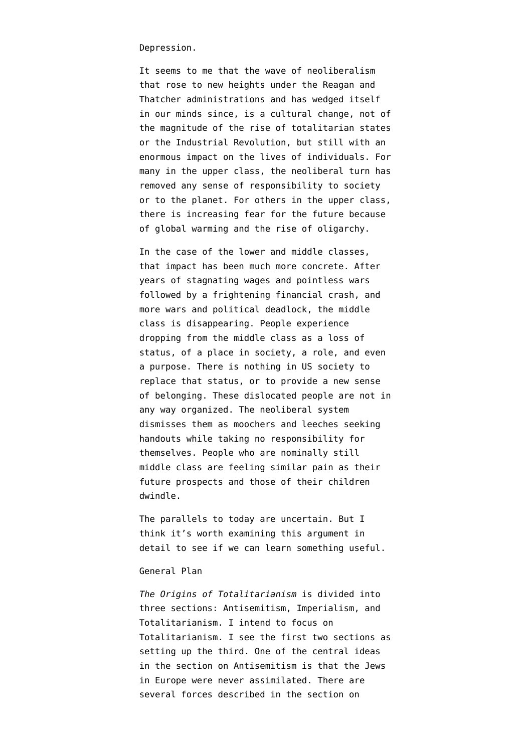Depression.

It seems to me that the wave of neoliberalism that rose to new heights under the Reagan and Thatcher administrations and has wedged itself in our minds since, is a cultural change, not of the magnitude of the rise of totalitarian states or the Industrial Revolution, but still with an enormous impact on the lives of individuals. For many in the upper class, the neoliberal turn has removed any sense of responsibility to society or to the planet. For others in the upper class, there is increasing fear for the future because of global warming and the rise of oligarchy.

In the case of the lower and middle classes, that impact has been much more concrete. After years of stagnating wages and pointless wars followed by a frightening financial crash, and more wars and political deadlock, the middle class is disappearing. People experience dropping from the middle class as a loss of status, of a place in society, a role, and even a purpose. There is nothing in US society to replace that status, or to provide a new sense of belonging. These dislocated people are not in any way organized. The neoliberal system dismisses them as moochers and leeches seeking handouts while taking no responsibility for themselves. People who are nominally still middle class are feeling similar pain as their future prospects and those of their children dwindle.

The parallels to today are uncertain. But I think it's worth examining this argument in detail to see if we can learn something useful.

## General Plan

*The Origins of Totalitarianism* is divided into three sections: Antisemitism, Imperialism, and Totalitarianism. I intend to focus on Totalitarianism. I see the first two sections as setting up the third. One of the central ideas in the section on Antisemitism is that the Jews in Europe were never assimilated. There are several forces described in the section on